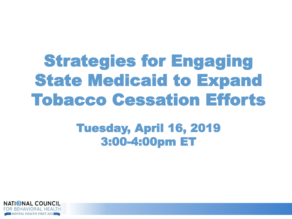# Strategies for Engaging State Medicaid to Expand Tobacco Cessation Efforts

#### Tuesday, April 16, 2019 3:00-4:00pm ET

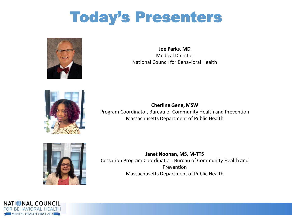### Today's Presenters



**Joe Parks, MD** Medical Director National Council for Behavioral Health



**Cherline Gene, MSW** Program Coordinator, Bureau of Community Health and Prevention Massachusetts Department of Public Health



**Janet Noonan, MS, M-TTS** Cessation Program Coordinator , Bureau of Community Health and Prevention Massachusetts Department of Public Health

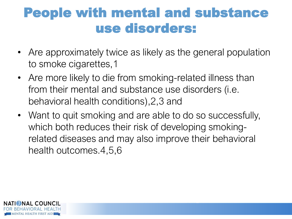#### People with mental and substance use disorders:

- Are approximately twice as likely as the general population to smoke cigarettes,1
- Are more likely to die from smoking-related illness than from their mental and substance use disorders (i.e. behavioral health conditions),2,3 and
- Want to quit smoking and are able to do so successfully, which both reduces their risk of developing smokingrelated diseases and may also improve their behavioral health outcomes.4,5,6

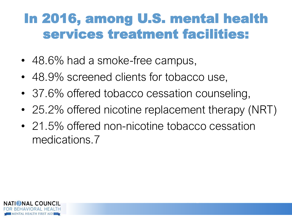### In 2016, among U.S. mental health services treatment facilities:

- 48.6% had a smoke-free campus,
- 48.9% screened clients for tobacco use,
- 37.6% offered tobacco cessation counseling,
- 25.2% offered nicotine replacement therapy (NRT)
- 21.5% offered non-nicotine tobacco cessation medications.7

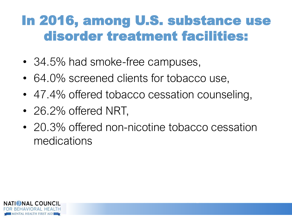### In 2016, among U.S. substance use disorder treatment facilities:

- 34.5% had smoke-free campuses,
- 64.0% screened clients for tobacco use,
- 47.4% offered tobacco cessation counseling,
- 26.2% offered NRT,
- 20.3% offered non-nicotine tobacco cessation medications

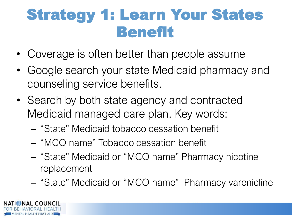# Strategy 1: Learn Your States Benefit

- Coverage is often better than people assume
- Google search your state Medicaid pharmacy and counseling service benefits.
- Search by both state agency and contracted Medicaid managed care plan. Key words:
	- "State" Medicaid tobacco cessation benefit
	- "MCO name" Tobacco cessation benefit
	- "State" Medicaid or "MCO name" Pharmacy nicotine replacement
	- "State" Medicaid or "MCO name" Pharmacy varenicline

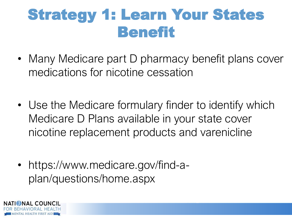# Strategy 1: Learn Your States Benefit

- Many Medicare part D pharmacy benefit plans cover medications for nicotine cessation
- Use the Medicare formulary finder to identify which Medicare D Plans available in your state cover nicotine replacement products and varenicline
- https://www.medicare.gov/find-aplan/questions/home.aspx

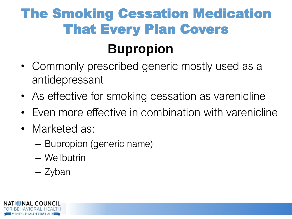# The Smoking Cessation Medication That Every Plan Covers

## **Bupropion**

- Commonly prescribed generic mostly used as a antidepressant
- As effective for smoking cessation as varenicline
- Even more effective in combination with varenicline
- Marketed as:
	- Bupropion (generic name)
	- Wellbutrin
	- Zyban

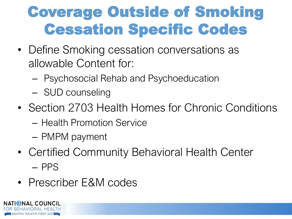# Coverage Outside of Smoking Cessation Specific Codes

- Define Smoking cessation conversations as allowable Content for:
	- Psychosocial Rehab and Psychoeducation
	- SUD counseling
- Section 2703 Health Homes for Chronic Conditions
	- Health Promotion Service
	- PMPM payment
- Certified Community Behavioral Health Center – PPS
- Prescriber E&M codes

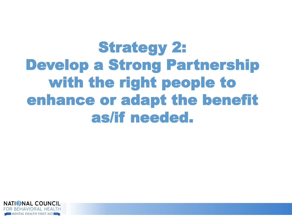## Strategy 2: Develop a Strong Partnership with the right people to enhance or adapt the benefit as/if needed.

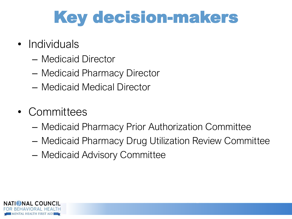# Key decision-makers

- Individuals
	- Medicaid Director
	- Medicaid Pharmacy Director
	- Medicaid Medical Director
- Committees
	- Medicaid Pharmacy Prior Authorization Committee
	- Medicaid Pharmacy Drug Utilization Review Committee
	- Medicaid Advisory Committee

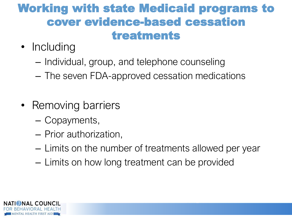#### Working with state Medicaid programs to cover evidence-based cessation treatments

- Including
	- Individual, group, and telephone counseling
	- The seven FDA-approved cessation medications
- Removing barriers
	- Copayments,
	- Prior authorization,
	- Limits on the number of treatments allowed per year
	- Limits on how long treatment can be provided

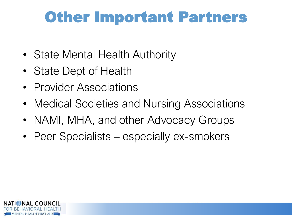## Other Important Partners

- State Mental Health Authority
- State Dept of Health
- Provider Associations
- Medical Societies and Nursing Associations
- NAMI, MHA, and other Advocacy Groups
- Peer Specialists especially ex-smokers

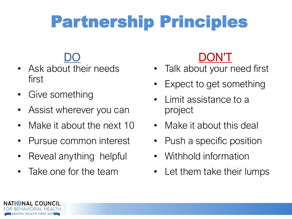# Partnership Principles

### DO

- Ask about their needs first
- Give something
- Assist wherever you can
- Make it about the next 10
- Pursue common interest
- Reveal anything helpful
- Take one for the team

NAI COUNCIL

NTAL HEALTH FIRST AID

#### DON'T

- Talk about your need first
- Expect to get something
- Limit assistance to a project
- Make it about this deal
- Push a specific position
- Withhold information
- Let them take their lumps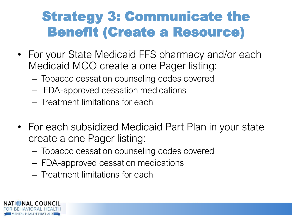### Strategy 3: Communicate the Benefit (Create a Resource)

- For your State Medicaid FFS pharmacy and/or each Medicaid MCO create a one Pager listing:
	- Tobacco cessation counseling codes covered
	- FDA-approved cessation medications
	- Treatment limitations for each
- For each subsidized Medicaid Part Plan in your state create a one Pager listing:
	- Tobacco cessation counseling codes covered
	- FDA-approved cessation medications
	- Treatment limitations for each

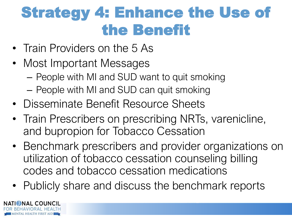# Strategy 4: Enhance the Use of the Benefit

- Train Providers on the 5 As
- Most Important Messages
	- People with MI and SUD want to quit smoking
	- People with MI and SUD can quit smoking
- Disseminate Benefit Resource Sheets
- Train Prescribers on prescribing NRTs, varenicline, and bupropion for Tobacco Cessation
- Benchmark prescribers and provider organizations on utilization of tobacco cessation counseling billing codes and tobacco cessation medications
- Publicly share and discuss the benchmark reports

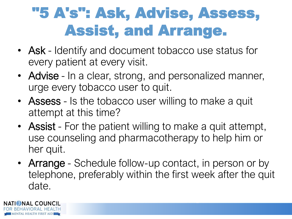# "5 A's": Ask, Advise, Assess, Assist, and Arrange.

- Ask Identify and document tobacco use status for every patient at every visit.
- Advise In a clear, strong, and personalized manner, urge every tobacco user to quit.
- Assess Is the tobacco user willing to make a quit attempt at this time?
- Assist For the patient willing to make a quit attempt, use counseling and pharmacotherapy to help him or her quit.
- Arrange Schedule follow-up contact, in person or by telephone, preferably within the first week after the quit date.

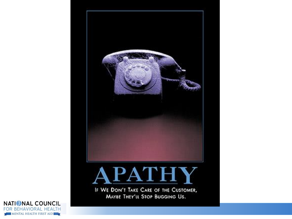

**NATIONAL COUNCIL** FOR BEHAVIORAL HEALTH MENTAL HEALTH FIRST AID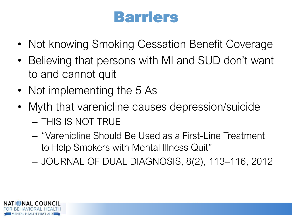### Barriers

- Not knowing Smoking Cessation Benefit Coverage
- Believing that persons with MI and SUD don't want to and cannot quit
- Not implementing the 5 As
- Myth that varenicline causes depression/suicide – THIS IS NOT TRUE
	- "Varenicline Should Be Used as a First-Line Treatment to Help Smokers with Mental Illness Quit"
	- JOURNAL OF DUAL DIAGNOSIS, 8(2), 113–116, 2012

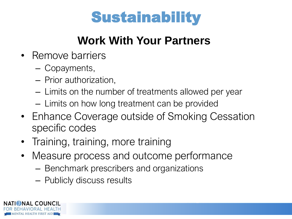

#### **Work With Your Partners**

- Remove barriers
	- Copayments,
	- Prior authorization,
	- Limits on the number of treatments allowed per year
	- Limits on how long treatment can be provided
- Enhance Coverage outside of Smoking Cessation specific codes
- Training, training, more training
- Measure process and outcome performance
	- Benchmark prescribers and organizations
	- Publicly discuss results

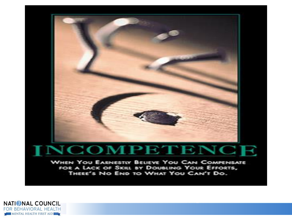

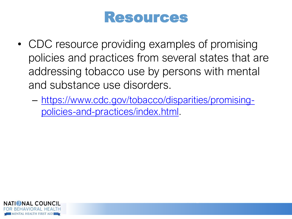

- CDC resource providing examples of promising policies and practices from several states that are addressing tobacco use by persons with mental and substance use disorders.
	- [https://www.cdc.gov/tobacco/disparities/promising](https://www.cdc.gov/tobacco/disparities/promising-policies-and-practices/index.html)policies-and-practices/index.html.

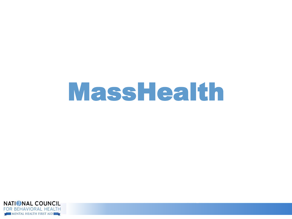# MassHealth

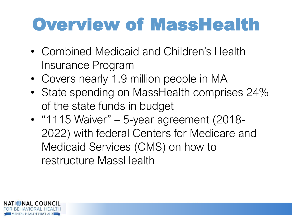# Overview of MassHealth

- Combined Medicaid and Children's Health Insurance Program
- Covers nearly 1.9 million people in MA
- State spending on MassHealth comprises 24% of the state funds in budget
- "1115 Waiver" 5-year agreement (2018- 2022) with federal Centers for Medicare and Medicaid Services (CMS) on how to restructure MassHealth

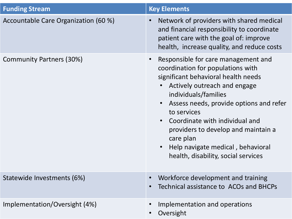| <b>Funding Stream</b>                | <b>Key Elements</b>                                                                                                                                                                                                                                                                                                                                                                                 |
|--------------------------------------|-----------------------------------------------------------------------------------------------------------------------------------------------------------------------------------------------------------------------------------------------------------------------------------------------------------------------------------------------------------------------------------------------------|
| Accountable Care Organization (60 %) | Network of providers with shared medical<br>and financial responsibility to coordinate<br>patient care with the goal of: improve<br>health, increase quality, and reduce costs                                                                                                                                                                                                                      |
| Community Partners (30%)             | Responsible for care management and<br>coordination for populations with<br>significant behavioral health needs<br>Actively outreach and engage<br>individuals/families<br>Assess needs, provide options and refer<br>to services<br>Coordinate with individual and<br>providers to develop and maintain a<br>care plan<br>Help navigate medical, behavioral<br>health, disability, social services |
| Statewide Investments (6%)           | Workforce development and training<br>Technical assistance to ACOs and BHCPs                                                                                                                                                                                                                                                                                                                        |
| Implementation/Oversight (4%)        | Implementation and operations<br>Oversight<br>$\bullet$                                                                                                                                                                                                                                                                                                                                             |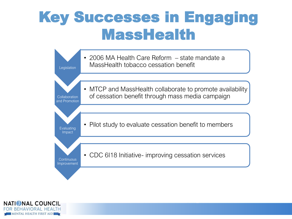## Key Successes in Engaging **MassHealth**

- 2006 MA Health Care Reform state mandate a MassHealth tobacco cessation benefit
- MTCP and MassHealth collaborate to promote availability of cessation benefit through mass media campaign
- Pilot study to evaluate cessation benefit to members

• CDC 6I18 Initiative- improving cessation services



Legislation

**Collaboration** and Promotion

> Evaluating Impact

**Continuous** Improvement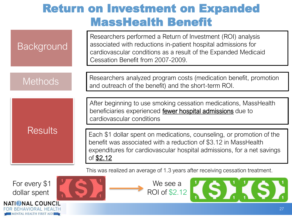#### Return on Investment on Expanded MassHealth Benefit

| <b>Background</b> | Researchers performed a Return of Investment (ROI) analysis<br>associated with reductions in-patient hospital admissions for<br>cardiovascular conditions as a result of the Expanded Medicaid<br>Cessation Benefit from 2007-2009. |
|-------------------|-------------------------------------------------------------------------------------------------------------------------------------------------------------------------------------------------------------------------------------|
| <b>Methods</b>    | Researchers analyzed program costs (medication benefit, promotion<br>and outreach of the benefit) and the short-term ROI.                                                                                                           |
| <b>Results</b>    | After beginning to use smoking cessation medications, MassHealth<br>beneficiaries experienced fewer hospital admissions due to<br>cardiovascular conditions                                                                         |
|                   | Each \$1 dollar spent on medications, counseling, or promotion of the<br>benefit was associated with a reduction of \$3.12 in MassHealth<br>expenditures for cardiovascular hospital admissions, for a net savings<br>of \$2.12     |
|                   | This was realized an average of 1.3 years after receiving cessation treatment.                                                                                                                                                      |



**NATIONAL COUNCIL** BEHAVIORAL HEALTH MENTAL HEALTH FIRST AID



We see a ROI of \$2.12

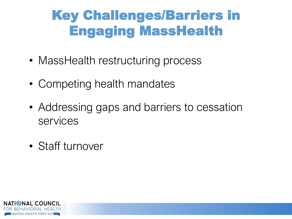### Key Challenges/Barriers in Engaging MassHealth

- MassHealth restructuring process
- Competing health mandates
- Addressing gaps and barriers to cessation services
- Staff turnover

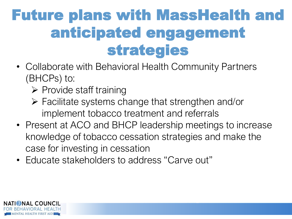# Future plans with MassHealth and anticipated engagement strategies

- Collaborate with Behavioral Health Community Partners (BHCPs) to:
	- ➢ Provide staff training
	- ➢ Facilitate systems change that strengthen and/or implement tobacco treatment and referrals
- Present at ACO and BHCP leadership meetings to increase knowledge of tobacco cessation strategies and make the case for investing in cessation
- Educate stakeholders to address "Carve out"

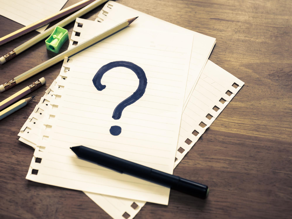